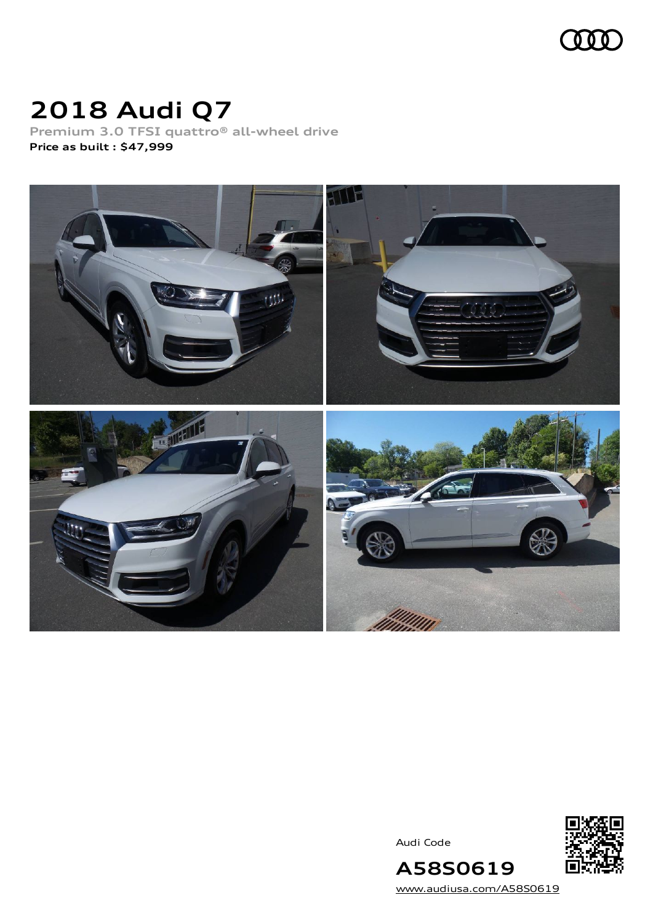

# **2018 Audi Q7**

**Premium 3.0 TFSI quattro® all-wheel drive Price as built [:](#page-9-0) \$47,999**



Audi Code



[www.audiusa.com/A58S0619](https://www.audiusa.com/A58S0619)

**A58S0619**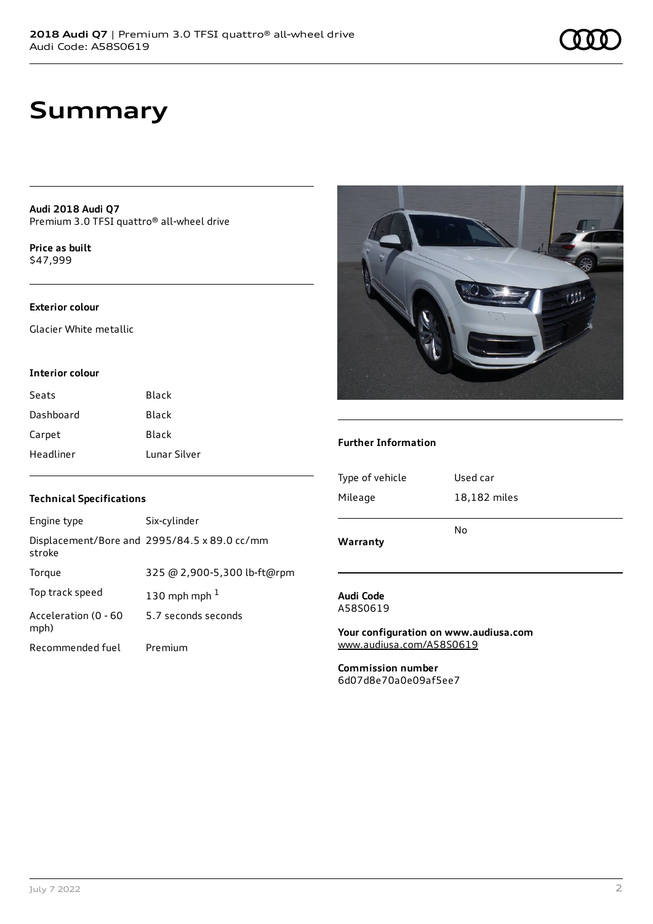### **Summary**

**Audi 2018 Audi Q7** Premium 3.0 TFSI quattro® all-wheel drive

**Price as buil[t](#page-9-0)** \$47,999

### **Exterior colour**

Glacier White metallic

#### **Interior colour**

| Seats     | <b>Black</b> |
|-----------|--------------|
| Dashboard | <b>Black</b> |
| Carpet    | <b>Black</b> |
| Headliner | Lunar Silver |

### **Further Information**

| Warranty        | No           |
|-----------------|--------------|
| Mileage         | 18,182 miles |
| Type of vehicle | Used car     |

#### **Audi Code** A58S0619

**Your configuration on www.audiusa.com** [www.audiusa.com/A58S0619](https://www.audiusa.com/A58S0619)

**Commission number** 6d07d8e70a0e09af5ee7

### **Technical Specifications**

| Engine type                  | Six-cylinder                                 |
|------------------------------|----------------------------------------------|
| stroke                       | Displacement/Bore and 2995/84.5 x 89.0 cc/mm |
| Torque                       | 325 @ 2,900-5,300 lb-ft@rpm                  |
| Top track speed              | 130 mph mph $1$                              |
| Acceleration (0 - 60<br>mph) | 5.7 seconds seconds                          |
| Recommended fuel             | Premium                                      |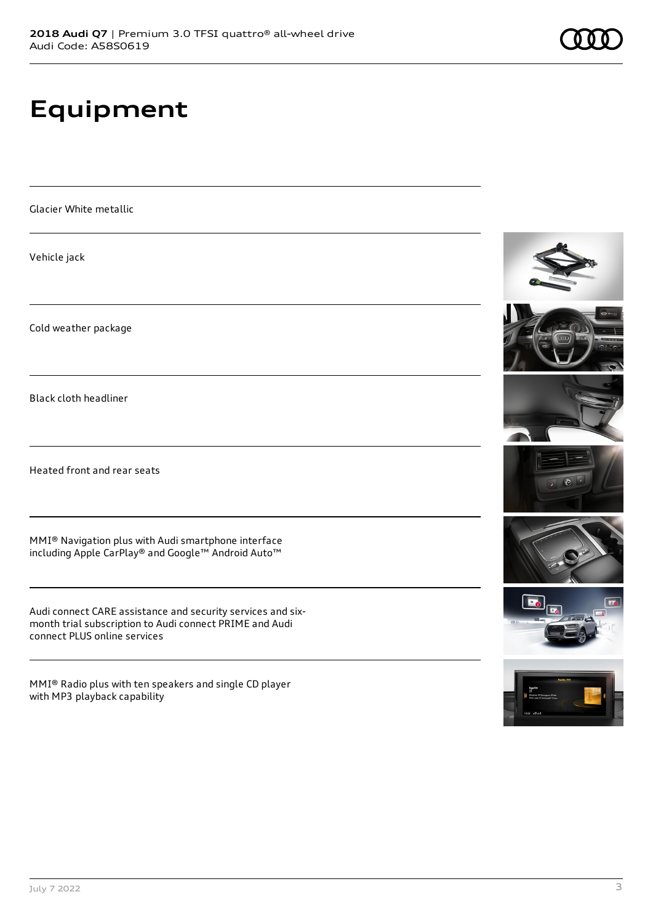# **Equipment**

Glacier White metallic

Vehicle jack

Cold weather package

Black cloth headliner

Heated front and rear seats

MMI® Navigation plus with Audi smartphone interface including Apple CarPlay® and Google™ Android Auto™

Audi connect CARE assistance and security services and sixmonth trial subscription to Audi connect PRIME and Audi connect PLUS online services

MMI® Radio plus with ten speakers and single CD player with MP3 playback capability















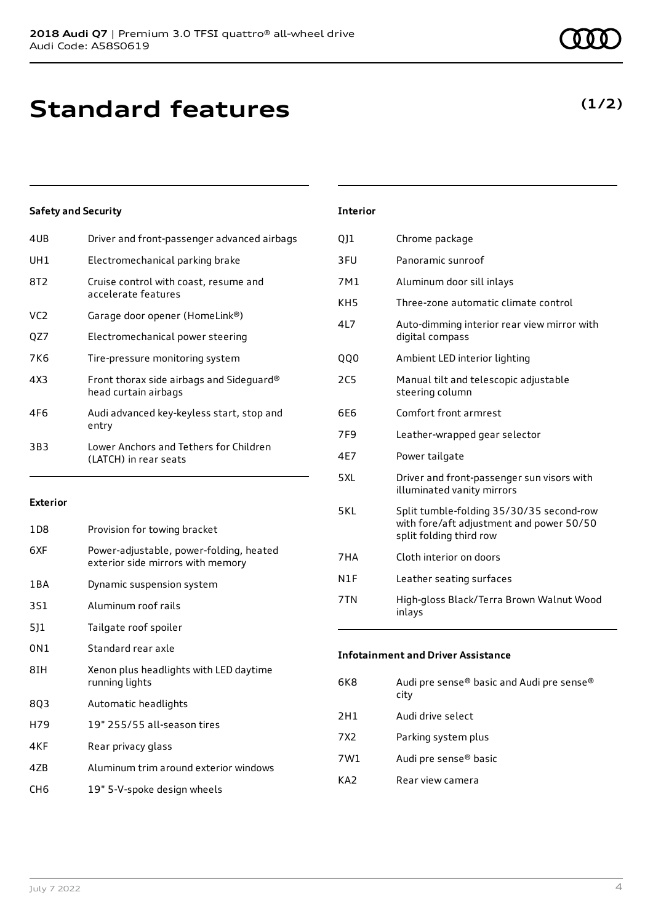## **Standard features**

### **Safety and Security**

| 4UB             | Driver and front-passenger advanced airbags                      |
|-----------------|------------------------------------------------------------------|
| UH1             | Electromechanical parking brake                                  |
| 8T2             | Cruise control with coast, resume and<br>accelerate features     |
| VC <sub>2</sub> | Garage door opener (HomeLink®)                                   |
| QZ7             | Electromechanical power steering                                 |
| 7K6             | Tire-pressure monitoring system                                  |
| 4X3             | Front thorax side airbags and Sideguard®<br>head curtain airbags |
| 4F6             | Audi advanced key-keyless start, stop and<br>entry               |
| 3B3             | Lower Anchors and Tethers for Children<br>(LATCH) in rear seats  |
|                 |                                                                  |

#### **Exterior**

| 1D8             | Provision for towing bracket                                                 |
|-----------------|------------------------------------------------------------------------------|
| 6XF             | Power-adjustable, power-folding, heated<br>exterior side mirrors with memory |
| 1 B A           | Dynamic suspension system                                                    |
| 3S1             | Aluminum roof rails                                                          |
| 511             | Tailgate roof spoiler                                                        |
| 0N1             | Standard rear axle                                                           |
| 8IH             | Xenon plus headlights with LED daytime<br>running lights                     |
| 803             | Automatic headlights                                                         |
| H79             | 19" 255/55 all-season tires                                                  |
| 4KF             | Rear privacy glass                                                           |
| 47B             | Aluminum trim around exterior windows                                        |
| CH <sub>6</sub> | 19" 5-V-spoke design wheels                                                  |

#### **Interior**

| QJ1             | Chrome package                                                                                                  |
|-----------------|-----------------------------------------------------------------------------------------------------------------|
| 3FU             | Panoramic sunroof                                                                                               |
| 7M1             | Aluminum door sill inlays                                                                                       |
| KH5             | Three-zone automatic climate control                                                                            |
| 417             | Auto-dimming interior rear view mirror with<br>digital compass                                                  |
| 000             | Ambient LED interior lighting                                                                                   |
| 2C <sub>5</sub> | Manual tilt and telescopic adjustable<br>steering column                                                        |
| 6F6             | Comfort front armrest                                                                                           |
| 7F9             | Leather-wrapped gear selector                                                                                   |
| 4E7             | Power tailgate                                                                                                  |
| 5XL             | Driver and front-passenger sun visors with<br>illuminated vanity mirrors                                        |
| 5 K I           | Split tumble-folding 35/30/35 second-row<br>with fore/aft adjustment and power 50/50<br>split folding third row |
| 7HA             | Cloth interior on doors                                                                                         |
| N1F             | Leather seating surfaces                                                                                        |
| 7TN             | High-gloss Black/Terra Brown Walnut Wood<br>inlays                                                              |

#### **Infotainment and Driver Assistance**

| 6K8             | Audi pre sense® basic and Audi pre sense®<br>city |
|-----------------|---------------------------------------------------|
| 2H1             | Audi drive select                                 |
| 7X2             | Parking system plus                               |
| 7W1             | Audi pre sense® basic                             |
| KA <sub>2</sub> | Rear view camera                                  |

### **(1/2)**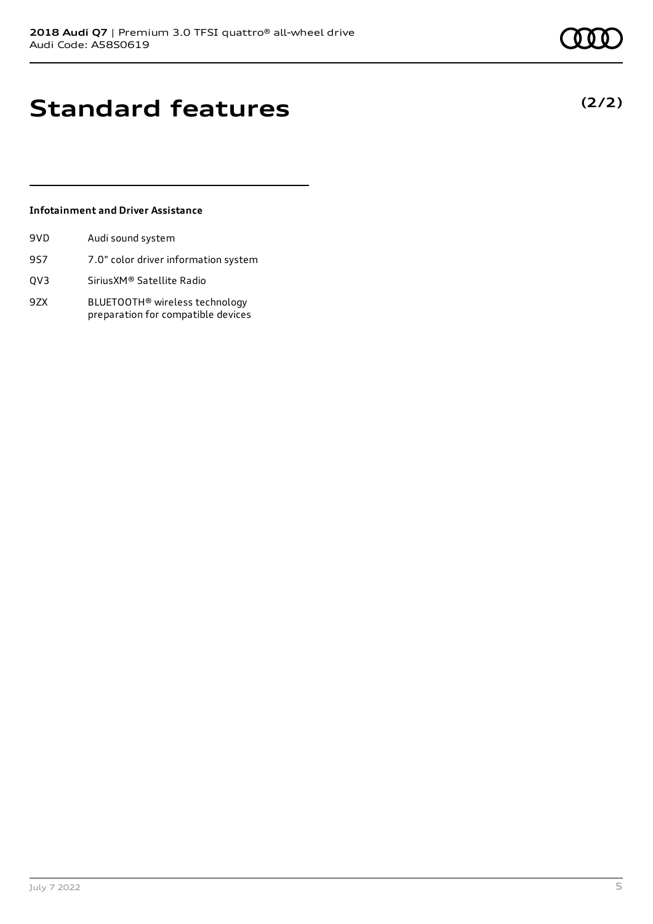**(2/2)**

# **Standard features**

### **Infotainment and Driver Assistance**

| 9VD | Audi sound system                    |
|-----|--------------------------------------|
| 9S7 | 7.0" color driver information system |
| OV3 | SiriusXM® Satellite Radio            |

9ZX BLUETOOTH® wireless technology preparation for compatible devices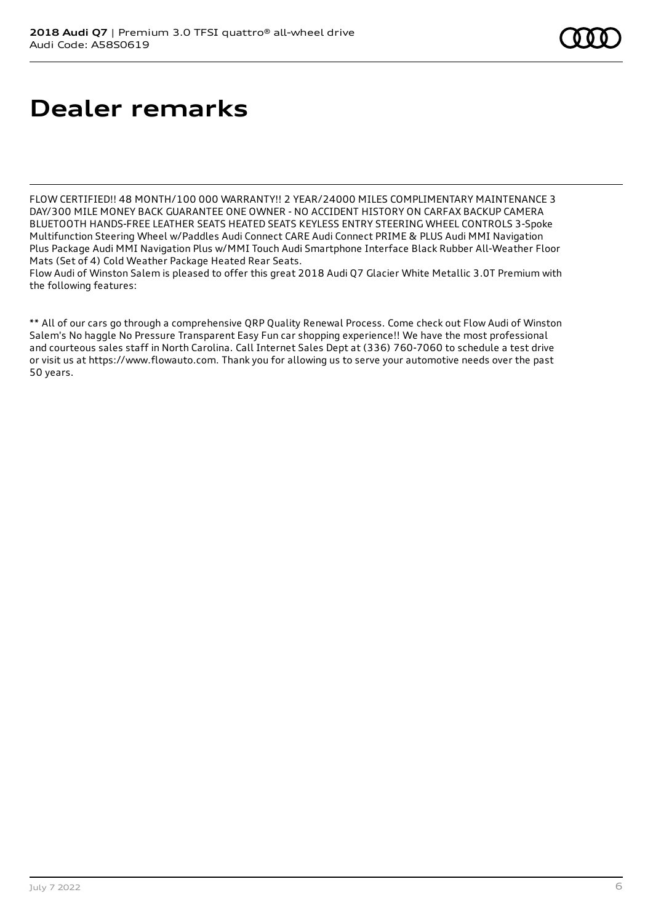## **Dealer remarks**

FLOW CERTIFIED!! 48 MONTH/100 000 WARRANTY!! 2 YEAR/24000 MILES COMPLIMENTARY MAINTENANCE 3 DAY/300 MILE MONEY BACK GUARANTEE ONE OWNER - NO ACCIDENT HISTORY ON CARFAX BACKUP CAMERA BLUETOOTH HANDS-FREE LEATHER SEATS HEATED SEATS KEYLESS ENTRY STEERING WHEEL CONTROLS 3-Spoke Multifunction Steering Wheel w/Paddles Audi Connect CARE Audi Connect PRIME & PLUS Audi MMI Navigation Plus Package Audi MMI Navigation Plus w/MMI Touch Audi Smartphone Interface Black Rubber All-Weather Floor Mats (Set of 4) Cold Weather Package Heated Rear Seats.

Flow Audi of Winston Salem is pleased to offer this great 2018 Audi Q7 Glacier White Metallic 3.0T Premium with the following features:

\*\* All of our cars go through a comprehensive QRP Quality Renewal Process. Come check out Flow Audi of Winston Salem's No haggle No Pressure Transparent Easy Fun car shopping experience!! We have the most professional and courteous sales staff in North Carolina. Call Internet Sales Dept at (336) 760-7060 to schedule a test drive or visit us at https://www.flowauto.com. Thank you for allowing us to serve your automotive needs over the past 50 years.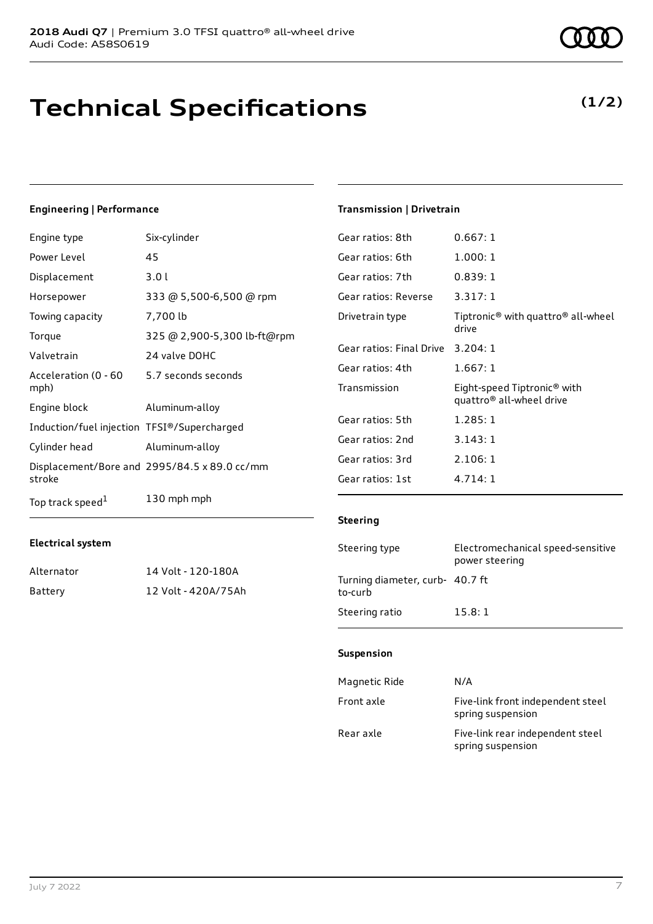### **Technical Specifications**

**Electrical system**

Alternator 14 Volt - 120-180A Battery 12 Volt - 420A/75Ah

July 7 2022 7

| <b>Engineering   Performance</b>            |                                              |  |
|---------------------------------------------|----------------------------------------------|--|
| Engine type                                 | Six-cylinder                                 |  |
| Power Level                                 | 45                                           |  |
| Displacement                                | 3.01                                         |  |
| Horsepower                                  | 333 @ 5,500-6,500 @ rpm                      |  |
| Towing capacity                             | 7,700 lb                                     |  |
| Torque                                      | 325 @ 2,900-5,300 lb-ft@rpm                  |  |
| Valvetrain                                  | 24 valve DOHC                                |  |
| Acceleration (0 - 60<br>mph)                | 5.7 seconds seconds                          |  |
| Engine block                                | Aluminum-alloy                               |  |
| Induction/fuel injection TFSI®/Supercharged |                                              |  |
| Cylinder head                               | Aluminum-alloy                               |  |
| stroke                                      | Displacement/Bore and 2995/84.5 x 89.0 cc/mm |  |
| Top track speed <sup>1</sup>                | 130 mph mph                                  |  |

### **Transmission | Drivetrain**

| Gear ratios: 8th.        | 0.667:1                                                                         |
|--------------------------|---------------------------------------------------------------------------------|
| Gear ratios: 6th         | 1.000:1                                                                         |
| Gear ratios: 7th         | 0.839:1                                                                         |
| Gear ratios: Reverse     | 3.317:1                                                                         |
| Drivetrain type          | Tiptronic <sup>®</sup> with quattro <sup>®</sup> all-wheel<br>drive             |
| Gear ratios: Final Drive | 3.204:1                                                                         |
| Gear ratios: 4th         | 1.667:1                                                                         |
| Transmission             | Eight-speed Tiptronic <sup>®</sup> with<br>quattro <sup>®</sup> all-wheel drive |
| Gear ratios: 5th         | 1.285:1                                                                         |
| Gear ratios: 2nd         | 3.143:1                                                                         |
| Gear ratios: 3rd         | 2.106:1                                                                         |
| Gear ratios: 1st         | 4.714:1                                                                         |

#### **Steering**

| Steering type                              | Electromechanical speed-sensitive<br>power steering |
|--------------------------------------------|-----------------------------------------------------|
| Turning diameter, curb- 40.7 ft<br>to-curb |                                                     |
| Steering ratio                             | 15.8:1                                              |

### **Suspension**

| Magnetic Ride | N/A                                                    |
|---------------|--------------------------------------------------------|
| Front axle    | Five-link front independent steel<br>spring suspension |
| Rear axle     | Five-link rear independent steel<br>spring suspension  |

### **(1/2)**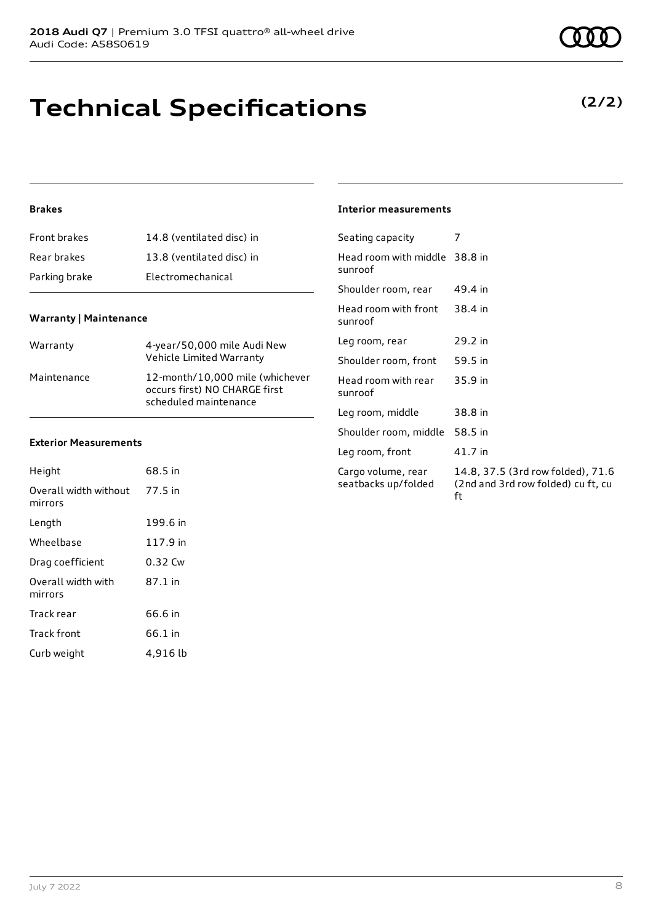# **Technical Specifications**

### **(2/2)**

### **Brakes**

| <b>Front brakes</b> | 14.8 (ventilated disc) in |
|---------------------|---------------------------|
| Rear brakes         | 13.8 (ventilated disc) in |
| Parking brake       | Electromechanical         |

### **Warranty | Maintenance**

| Warranty    | 4-year/50,000 mile Audi New<br>Vehicle Limited Warranty                                   |
|-------------|-------------------------------------------------------------------------------------------|
| Maintenance | 12-month/10.000 mile (whichever<br>occurs first) NO CHARGE first<br>scheduled maintenance |

#### **Exterior Measurements**

| Height                           | 68.5 in  |
|----------------------------------|----------|
| Overall width without<br>mirrors | 77.5 in  |
| Length                           | 199.6 in |
| Wheelbase                        | 117.9 in |
| Drag coefficient                 | 0.32 Cw  |
| Overall width with<br>mirrors    | 87.1 in  |
| Track rear                       | 66.6 in  |
| Track front                      | 66.1 in  |
| Curb weight                      | 4,916 lb |

#### **Interior measurements**

| Seating capacity                          | 7                                                                             |
|-------------------------------------------|-------------------------------------------------------------------------------|
| Head room with middle 38.8 in<br>sunroof  |                                                                               |
| Shoulder room, rear                       | 49.4 in                                                                       |
| Head room with front<br>sunroof           | 38.4 in                                                                       |
| Leg room, rear                            | $29.2$ in                                                                     |
| Shoulder room, front                      | 59.5 in                                                                       |
| Head room with rear<br>sunroof            | 35.9 in                                                                       |
| Leg room, middle                          | 38.8 in                                                                       |
| Shoulder room, middle                     | 58.5 in                                                                       |
| Leg room, front                           | 41.7 in                                                                       |
| Cargo volume, rear<br>seatbacks up/folded | 14.8, 37.5 (3rd row folded), 71.6<br>(2nd and 3rd row folded) cu ft, cu<br>ft |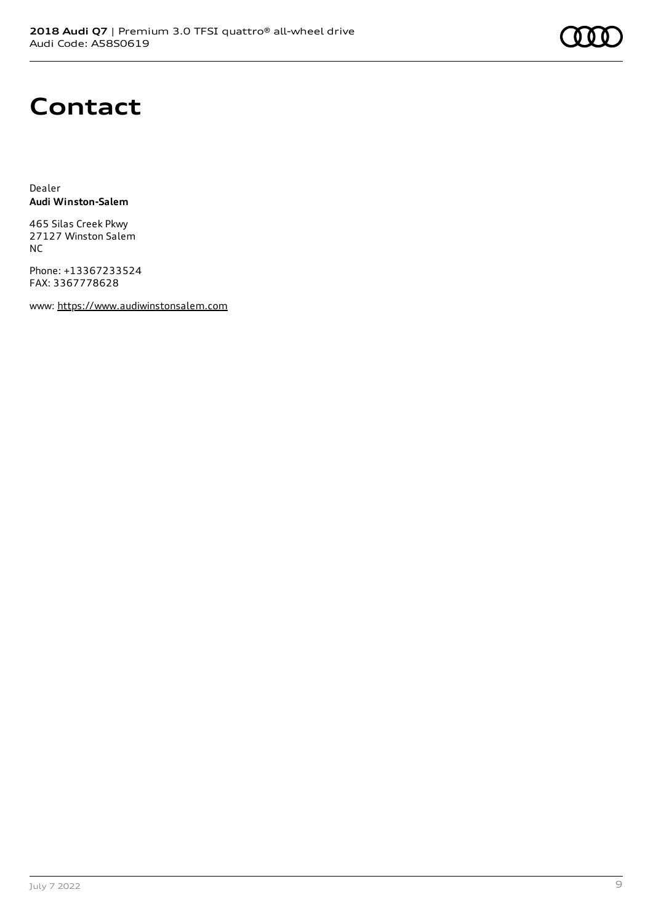

### **Contact**

Dealer **Audi Winston-Salem**

465 Silas Creek Pkwy 27127 Winston Salem NC

Phone: +13367233524 FAX: 3367778628

www: [https://www.audiwinstonsalem.com](https://www.audiwinstonsalem.com/)